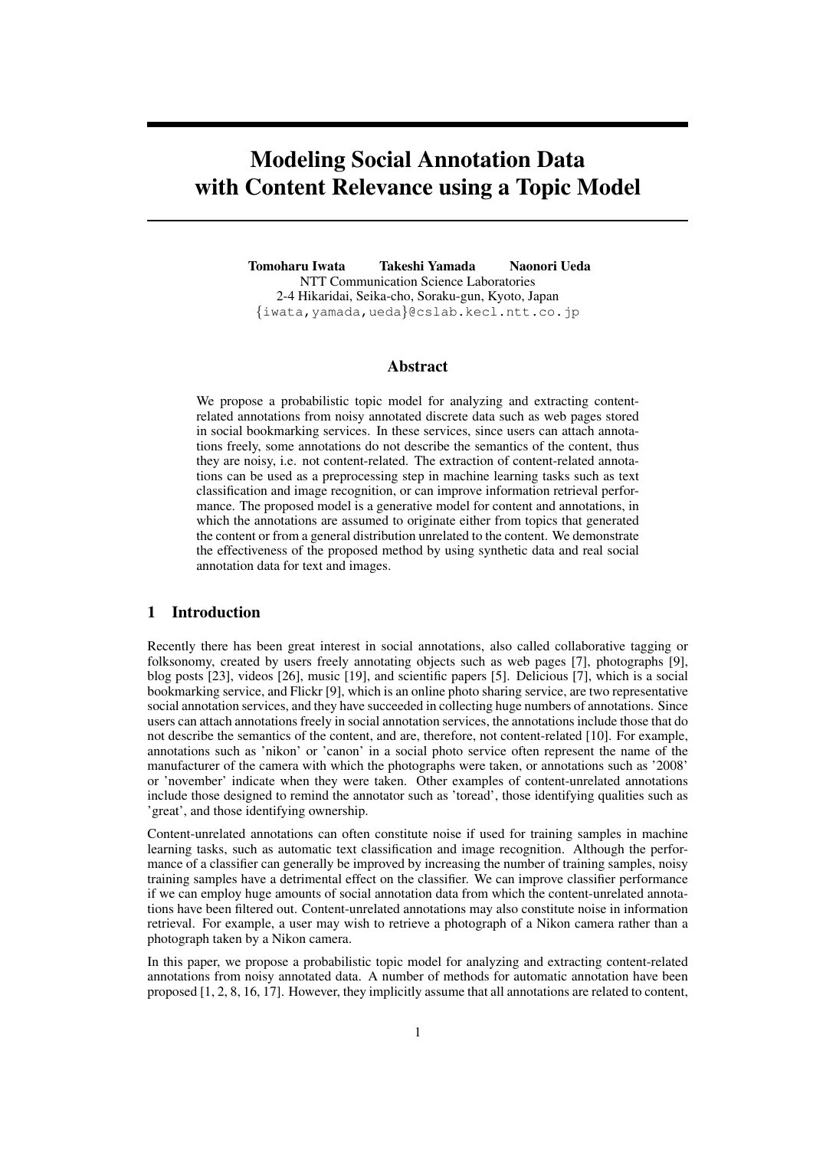# Modeling Social Annotation Data with Content Relevance using a Topic Model

Tomoharu Iwata Takeshi Yamada Naonori Ueda NTT Communication Science Laboratories 2-4 Hikaridai, Seika-cho, Soraku-gun, Kyoto, Japan *{*iwata,yamada,ueda*}*@cslab.kecl.ntt.co.jp

#### Abstract

We propose a probabilistic topic model for analyzing and extracting contentrelated annotations from noisy annotated discrete data such as web pages stored in social bookmarking services. In these services, since users can attach annotations freely, some annotations do not describe the semantics of the content, thus they are noisy, i.e. not content-related. The extraction of content-related annotations can be used as a preprocessing step in machine learning tasks such as text classification and image recognition, or can improve information retrieval performance. The proposed model is a generative model for content and annotations, in which the annotations are assumed to originate either from topics that generated the content or from a general distribution unrelated to the content. We demonstrate the effectiveness of the proposed method by using synthetic data and real social annotation data for text and images.

### 1 Introduction

Recently there has been great interest in social annotations, also called collaborative tagging or folksonomy, created by users freely annotating objects such as web pages [7], photographs [9], blog posts [23], videos [26], music [19], and scientific papers [5]. Delicious [7], which is a social bookmarking service, and Flickr [9], which is an online photo sharing service, are two representative social annotation services, and they have succeeded in collecting huge numbers of annotations. Since users can attach annotations freely in social annotation services, the annotations include those that do not describe the semantics of the content, and are, therefore, not content-related [10]. For example, annotations such as 'nikon' or 'canon' in a social photo service often represent the name of the manufacturer of the camera with which the photographs were taken, or annotations such as '2008' or 'november' indicate when they were taken. Other examples of content-unrelated annotations include those designed to remind the annotator such as 'toread', those identifying qualities such as 'great', and those identifying ownership.

Content-unrelated annotations can often constitute noise if used for training samples in machine learning tasks, such as automatic text classification and image recognition. Although the performance of a classifier can generally be improved by increasing the number of training samples, noisy training samples have a detrimental effect on the classifier. We can improve classifier performance if we can employ huge amounts of social annotation data from which the content-unrelated annotations have been filtered out. Content-unrelated annotations may also constitute noise in information retrieval. For example, a user may wish to retrieve a photograph of a Nikon camera rather than a photograph taken by a Nikon camera.

In this paper, we propose a probabilistic topic model for analyzing and extracting content-related annotations from noisy annotated data. A number of methods for automatic annotation have been proposed [1, 2, 8, 16, 17]. However, they implicitly assume that all annotations are related to content,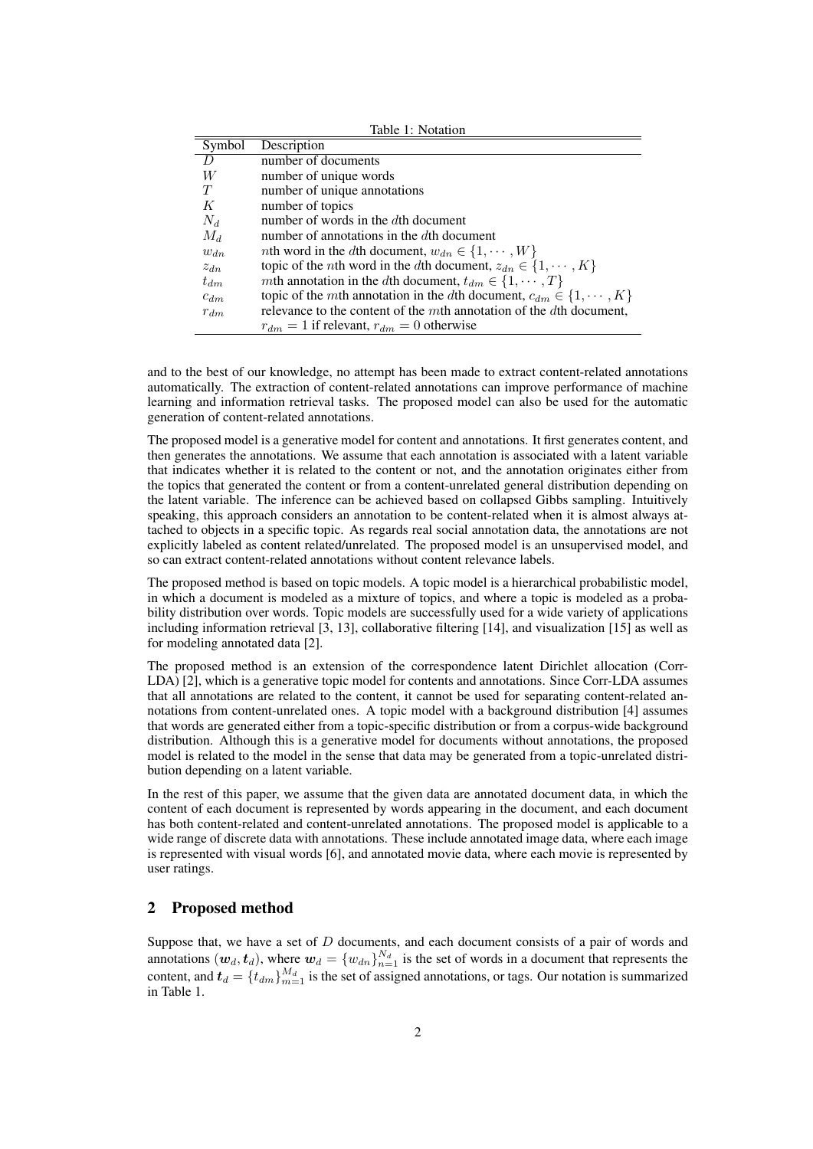| Table 1: Notation |                                                                                         |  |  |  |  |  |  |  |
|-------------------|-----------------------------------------------------------------------------------------|--|--|--|--|--|--|--|
| Symbol            | Description                                                                             |  |  |  |  |  |  |  |
|                   | number of documents                                                                     |  |  |  |  |  |  |  |
| W                 | number of unique words                                                                  |  |  |  |  |  |  |  |
| T                 | number of unique annotations                                                            |  |  |  |  |  |  |  |
| К                 | number of topics                                                                        |  |  |  |  |  |  |  |
| $N_d$             | number of words in the $d$ th document                                                  |  |  |  |  |  |  |  |
| $M_d$             | number of annotations in the $d$ th document                                            |  |  |  |  |  |  |  |
| $w_{dn}$          | <i>nth</i> word in the <i>dth</i> document, $w_{dn} \in \{1, \dots, W\}$                |  |  |  |  |  |  |  |
| $z_{dn}$          | topic of the <i>n</i> th word in the <i>d</i> th document, $z_{dn} \in \{1, \dots, K\}$ |  |  |  |  |  |  |  |
| $t_{dm}$          | <i>mth</i> annotation in the <i>dth</i> document, $t_{dm} \in \{1, \dots, T\}$          |  |  |  |  |  |  |  |
| $c_{dm}$          | topic of the mth annotation in the dth document, $c_{dm} \in \{1, \dots, K\}$           |  |  |  |  |  |  |  |
| $r_{dm}$          | relevance to the content of the mth annotation of the dth document,                     |  |  |  |  |  |  |  |
|                   | $r_{dm} = 1$ if relevant, $r_{dm} = 0$ otherwise                                        |  |  |  |  |  |  |  |

and to the best of our knowledge, no attempt has been made to extract content-related annotations automatically. The extraction of content-related annotations can improve performance of machine learning and information retrieval tasks. The proposed model can also be used for the automatic generation of content-related annotations.

The proposed model is a generative model for content and annotations. It first generates content, and then generates the annotations. We assume that each annotation is associated with a latent variable that indicates whether it is related to the content or not, and the annotation originates either from the topics that generated the content or from a content-unrelated general distribution depending on the latent variable. The inference can be achieved based on collapsed Gibbs sampling. Intuitively speaking, this approach considers an annotation to be content-related when it is almost always attached to objects in a specific topic. As regards real social annotation data, the annotations are not explicitly labeled as content related/unrelated. The proposed model is an unsupervised model, and so can extract content-related annotations without content relevance labels.

The proposed method is based on topic models. A topic model is a hierarchical probabilistic model, in which a document is modeled as a mixture of topics, and where a topic is modeled as a probability distribution over words. Topic models are successfully used for a wide variety of applications including information retrieval [3, 13], collaborative filtering [14], and visualization [15] as well as for modeling annotated data [2].

The proposed method is an extension of the correspondence latent Dirichlet allocation (Corr-LDA) [2], which is a generative topic model for contents and annotations. Since Corr-LDA assumes that all annotations are related to the content, it cannot be used for separating content-related annotations from content-unrelated ones. A topic model with a background distribution [4] assumes that words are generated either from a topic-specific distribution or from a corpus-wide background distribution. Although this is a generative model for documents without annotations, the proposed model is related to the model in the sense that data may be generated from a topic-unrelated distribution depending on a latent variable.

In the rest of this paper, we assume that the given data are annotated document data, in which the content of each document is represented by words appearing in the document, and each document has both content-related and content-unrelated annotations. The proposed model is applicable to a wide range of discrete data with annotations. These include annotated image data, where each image is represented with visual words [6], and annotated movie data, where each movie is represented by user ratings.

## 2 Proposed method

Suppose that, we have a set of *D* documents, and each document consists of a pair of words and annotations  $(w_d, t_d)$ , where  $w_d = \{w_{dn}\}_{n=1}^{N_d}$  is the set of words in a document that represents the content, and  $t_d = \{t_{dm}\}_{m=1}^{M_d}$  is the set of assigned annotations, or tags. Our notation is summarized in Table 1.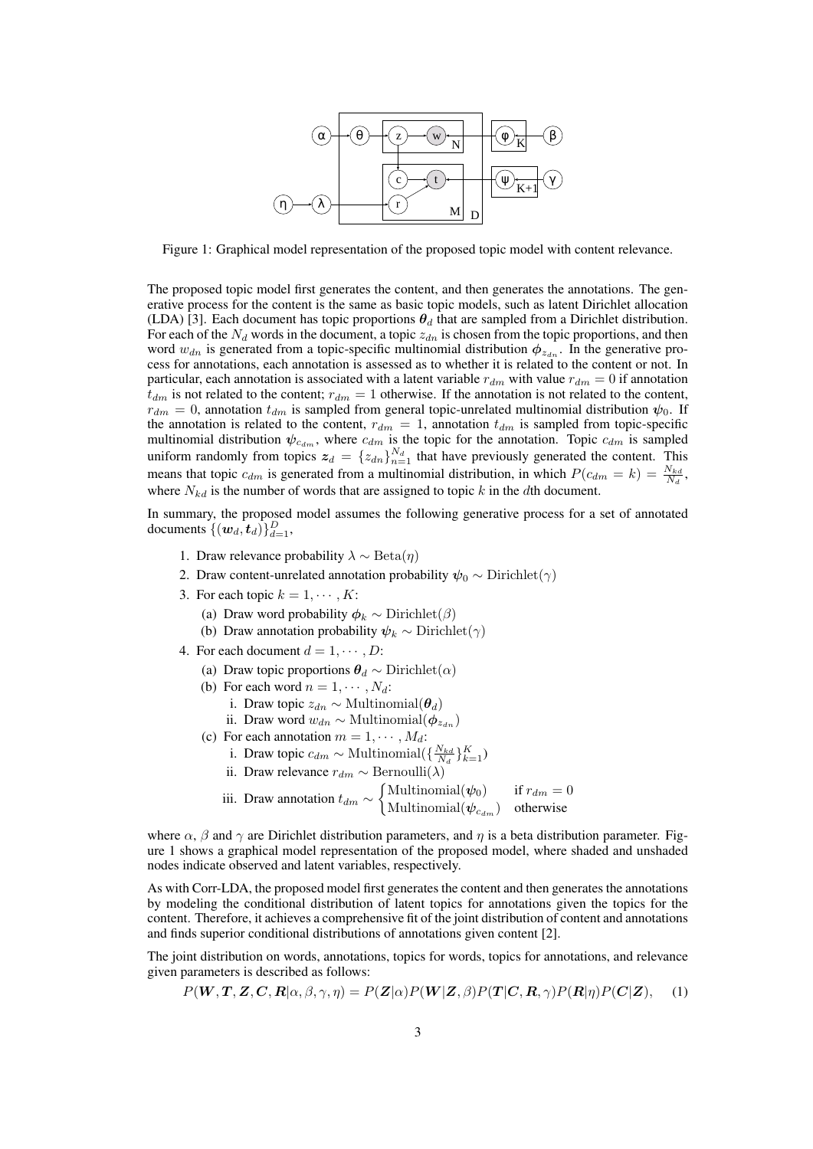

Figure 1: Graphical model representation of the proposed topic model with content relevance.

The proposed topic model first generates the content, and then generates the annotations. The generative process for the content is the same as basic topic models, such as latent Dirichlet allocation (LDA) [3]. Each document has topic proportions  $\theta_d$  that are sampled from a Dirichlet distribution. For each of the  $N_d$  words in the document, a topic  $z_{dn}$  is chosen from the topic proportions, and then word  $w_{dn}$  is generated from a topic-specific multinomial distribution  $\phi_{z_{dn}}$ . In the generative process for annotations, each annotation is assessed as to whether it is related to the content or not. In particular, each annotation is associated with a latent variable  $r_{dm}$  with value  $r_{dm} = 0$  if annotation  $t_{dm}$  is not related to the content;  $r_{dm} = 1$  otherwise. If the annotation is not related to the content,  $r_{dm} = 0$ , annotation  $t_{dm}$  is sampled from general topic-unrelated multinomial distribution  $\psi_0$ . If the annotation is related to the content,  $r_{dm} = 1$ , annotation  $t_{dm}$  is sampled from topic-specific multinomial distribution  $\psi_{c_{dm}}$ , where  $c_{dm}$  is the topic for the annotation. Topic  $c_{dm}$  is sampled uniform randomly from topics  $z_d = \{z_{dn}\}_{n=1}^{N_d}$  that have previously generated the content. This means that topic  $c_{dm}$  is generated from a multinomial distribution, in which  $P(c_{dm} = k) = \frac{N_{kd}}{N_d}$ , where  $N_{kd}$  is the number of words that are assigned to topic  $k$  in the  $d$ th document.

In summary, the proposed model assumes the following generative process for a set of annotated documents  $\{(w_d, t_d)\}_{d=1}^D$ ,

- 1. Draw relevance probability  $\lambda \sim \text{Beta}(n)$
- 2. Draw content-unrelated annotation probability  $\psi_0 \sim$  Dirichlet $(\gamma)$
- 3. For each topic  $k = 1, \dots, K$ :
	- (a) Draw word probability  $\phi_k \sim \text{Dirichlet}(\beta)$
	- (b) Draw annotation probability  $\psi_k \sim \text{Dirichlet}(\gamma)$
- 4. For each document  $d = 1, \dots, D$ :
	- (a) Draw topic proportions  $\theta_d \sim$  Dirichlet( $\alpha$ )
	- (b) For each word  $n = 1, \cdots, N_d$ :
		- i. Draw topic  $z_{dn} \sim \text{Multinomial}(\boldsymbol{\theta}_d)$
		- ii. Draw word  $w_{dn} \sim \text{Multinomial}(\boldsymbol{\phi}_{z_{dn}})$
	- (c) For each annotation  $m = 1, \dots, M_d$ :
		- i. Draw topic  $c_{dm} \sim \text{Multinomial}(\{\frac{N_{kd}}{N_d}\}_{k=1}^K)$
		- $\overline{H}$ . Draw relevance  $r_{dm}$  ∼ Bernoulli(*λ*)
		- iii. Draw annotation *tdm ∼*  $\int$ Multinomial( $\psi_0$ ) if  $r_{dm} = 0$ Multinomial(*ψ<sup>c</sup>dm*) otherwise

where  $\alpha$ ,  $\beta$  and  $\gamma$  are Dirichlet distribution parameters, and  $\eta$  is a beta distribution parameter. Figure 1 shows a graphical model representation of the proposed model, where shaded and unshaded nodes indicate observed and latent variables, respectively.

As with Corr-LDA, the proposed model first generates the content and then generates the annotations by modeling the conditional distribution of latent topics for annotations given the topics for the content. Therefore, it achieves a comprehensive fit of the joint distribution of content and annotations and finds superior conditional distributions of annotations given content [2].

The joint distribution on words, annotations, topics for words, topics for annotations, and relevance given parameters is described as follows:

$$
P(\mathbf{W}, \mathbf{T}, \mathbf{Z}, \mathbf{C}, \mathbf{R} | \alpha, \beta, \gamma, \eta) = P(\mathbf{Z} | \alpha) P(\mathbf{W} | \mathbf{Z}, \beta) P(\mathbf{T} | \mathbf{C}, \mathbf{R}, \gamma) P(\mathbf{R} | \eta) P(\mathbf{C} | \mathbf{Z}), \quad (1)
$$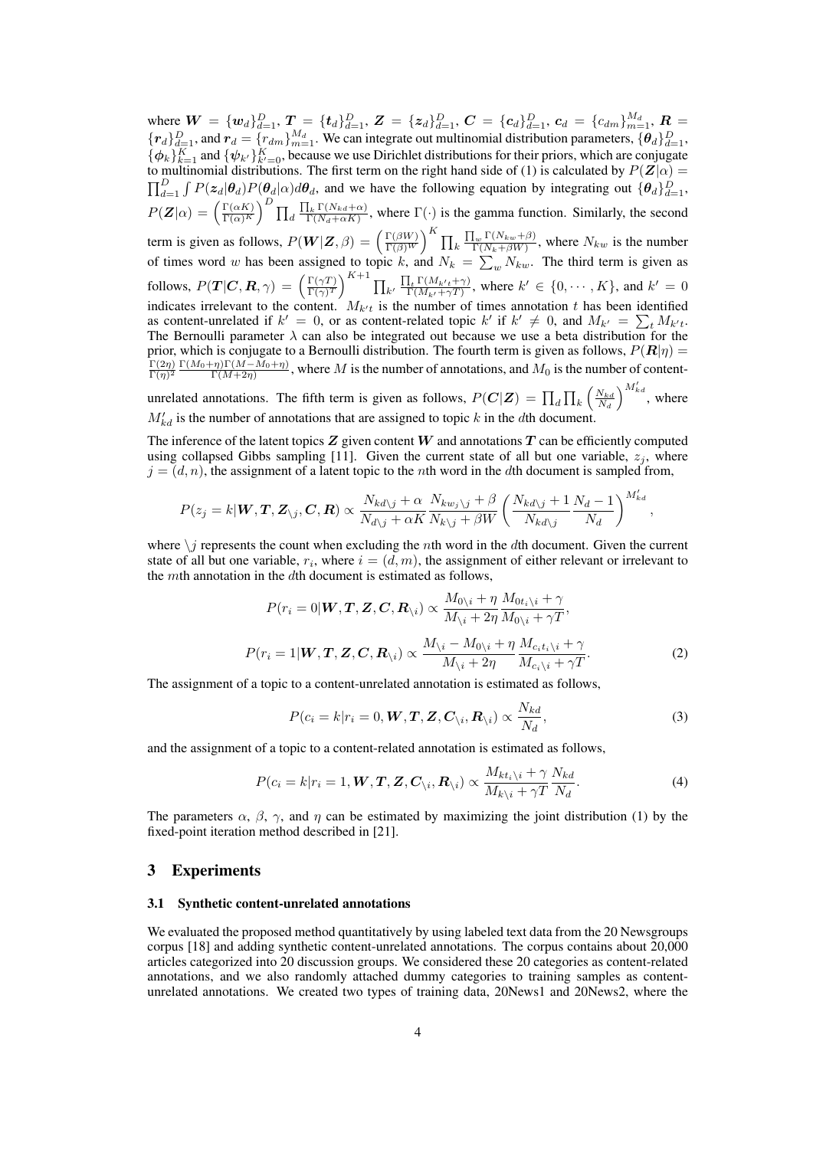where  $\boldsymbol{W} = {\{\boldsymbol{w}_d\}}_{d=1}^D$ ,  $\boldsymbol{T} = {\{\boldsymbol{t}_d\}}_{d=1}^D$ ,  $\boldsymbol{Z} = {\{\boldsymbol{z}_d\}}_{d=1}^D$ ,  $\boldsymbol{C} = {\{\boldsymbol{c}_d\}}_{d=1}^D$ ,  $\boldsymbol{c}_d = {\{c_{dm}\}}_{m=1}^{M_d}$ ,  $\boldsymbol{R} = {\{\boldsymbol{c}_d\}}_{m=1}^D$  ${r_d}_{d=1}^D$ , and  $r_d = {r_{dm}}_{m=1}^{M_d}$ . We can integrate out multinomial distribution parameters,  ${\theta_d}_{d=1}^D$  $\{\phi_k\}_{k=1}^K$  and  $\{\psi_{k'}\}_{k'=0}^K$ , because we use Dirichlet distributions for their priors, which are conjugate to multinomial distributions. The first term on the right hand side of (1) is calculated by  $P(Z|\alpha)$  $\prod_{d=1}^D \int P(z_d|\theta_d) P(\theta_d|\alpha) d\theta_d$ , and we have the following equation by integrating out  $\{\theta_d\}_{d=1}^D$ ,  $P(\mathbf{Z}|\alpha) = \left(\frac{\Gamma(\alpha K)}{\Gamma(\alpha)^K}\right)$  $\Big)^D \prod_d$  $\frac{\prod_k \Gamma(N_{kd}+\alpha)}{\Gamma(N_d+\alpha K)}$ , where  $\Gamma(\cdot)$  is the gamma function. Similarly, the second term is given as follows,  $P(W|Z, \beta) = \left(\frac{\Gamma(\beta W)}{\Gamma(\beta)^W}\right)$  $\Big)^K \prod_k$  $\frac{\prod_w \Gamma(N_{kw}+\beta)}{\Gamma(N_k+\beta W)}$ , where  $N_{kw}$  is the number of times word *w* has been assigned to topic *k*, and  $N_k = \sum_{w} N_{kw}$ . The third term is given as follows,  $P(T|C, R, \gamma) = \left(\frac{\Gamma(\gamma T)}{\Gamma(\gamma)^T}\right)$  $\Big)^{K+1}\prod_{k'}$  $\prod_t \Gamma(M_{k't} + \gamma)$  $\sum_{\substack{r \in \{M_{k'} + \gamma(T) \\ r(M_{k'} + \gamma T)}}$ , where  $k' \in \{0, \dots, K\}$ , and  $k' = 0$ indicates irrelevant to the content.  $M_{k't}$  is the number of times annotation *t* has been identified as content-unrelated if  $k' = 0$ , or as content-related topic  $k'$  if  $k' \neq 0$ , and  $M_{k'} = \sum_{t} M_{k't}$ . The Bernoulli parameter  $\lambda$  can also be integrated out because we use a beta distribution for the prior, which is conjugate to a Bernoulli distribution. The fourth term is given as follows,  $P(R|\eta)$  =  $\Gamma(2\eta)$  $\frac{\Gamma(2η)}{\Gamma(η)^2}$   $\frac{\Gamma(M_0+η)\Gamma(M-M_0+η)}{\Gamma(M+2η)}$ , where *M* is the number of annotations, and *M*<sub>0</sub> is the number of content-

unrelated annotations. The fifth term is given as follows,  $P(C|Z) = \prod_{d} \prod_{k} \left( \frac{N_{kd}}{N_d} \right)$  $\big)^{M'_{kd}}$ , where  $M'_{kd}$  is the number of annotations that are assigned to topic *k* in the *d*th document.

The inference of the latent topics  $Z$  given content  $W$  and annotations  $T$  can be efficiently computed using collapsed Gibbs sampling [11]. Given the current state of all but one variable,  $z_j$ , where  $j = (d, n)$ , the assignment of a latent topic to the *n*th word in the *d*th document is sampled from,

$$
P(z_j = k | \mathbf{W}, \mathbf{T}, \mathbf{Z}_{\setminus j}, \mathbf{C}, \mathbf{R}) \propto \frac{N_{kd\setminus j} + \alpha}{N_{d\setminus j} + \alpha K} \frac{N_{kw_j\setminus j} + \beta}{N_{k\setminus j} + \beta W} \left( \frac{N_{kd\setminus j} + 1}{N_{kd\setminus j}} \frac{N_d - 1}{N_d} \right)^{M'_{kd}},
$$

where *\j* represents the count when excluding the *n*th word in the *d*th document. Given the current state of all but one variable,  $r_i$ , where  $i = (d, m)$ , the assignment of either relevant or irrelevant to the *m*th annotation in the *d*th document is estimated as follows,

$$
P(r_i = 0 | \mathbf{W}, \mathbf{T}, \mathbf{Z}, \mathbf{C}, \mathbf{R}_{\backslash i}) \propto \frac{M_{0\backslash i} + \eta}{M_{\backslash i} + 2\eta} \frac{M_{0t_i \backslash i} + \gamma}{M_{0\backslash i} + \gamma T},
$$
  

$$
P(r_i = 1 | \mathbf{W}, \mathbf{T}, \mathbf{Z}, \mathbf{C}, \mathbf{R}_{\backslash i}) \propto \frac{M_{\backslash i} - M_{0\backslash i} + \eta}{M_{\backslash i} + 2\eta} \frac{M_{c_i t_i \backslash i} + \gamma}{M_{c_i \backslash i} + \gamma T}.
$$
 (2)

The assignment of a topic to a content-unrelated annotation is estimated as follows,

$$
P(c_i = k | r_i = 0, \mathbf{W}, \mathbf{T}, \mathbf{Z}, \mathbf{C}_{\backslash i}, \mathbf{R}_{\backslash i}) \propto \frac{N_{kd}}{N_d},
$$
\n(3)

and the assignment of a topic to a content-related annotation is estimated as follows,

$$
P(c_i = k | r_i = 1, \boldsymbol{W}, \boldsymbol{T}, \boldsymbol{Z}, \boldsymbol{C}_{\backslash i}, \boldsymbol{R}_{\backslash i}) \propto \frac{M_{kt_i \backslash i} + \gamma}{M_{k_i \backslash i} + \gamma T} \frac{N_{kd}}{N_d}.
$$
\n(4)

The parameters  $\alpha$ ,  $\beta$ ,  $\gamma$ , and  $\eta$  can be estimated by maximizing the joint distribution (1) by the fixed-point iteration method described in [21].

#### 3 Experiments

#### 3.1 Synthetic content-unrelated annotations

We evaluated the proposed method quantitatively by using labeled text data from the 20 Newsgroups corpus [18] and adding synthetic content-unrelated annotations. The corpus contains about 20,000 articles categorized into 20 discussion groups. We considered these 20 categories as content-related annotations, and we also randomly attached dummy categories to training samples as contentunrelated annotations. We created two types of training data, 20News1 and 20News2, where the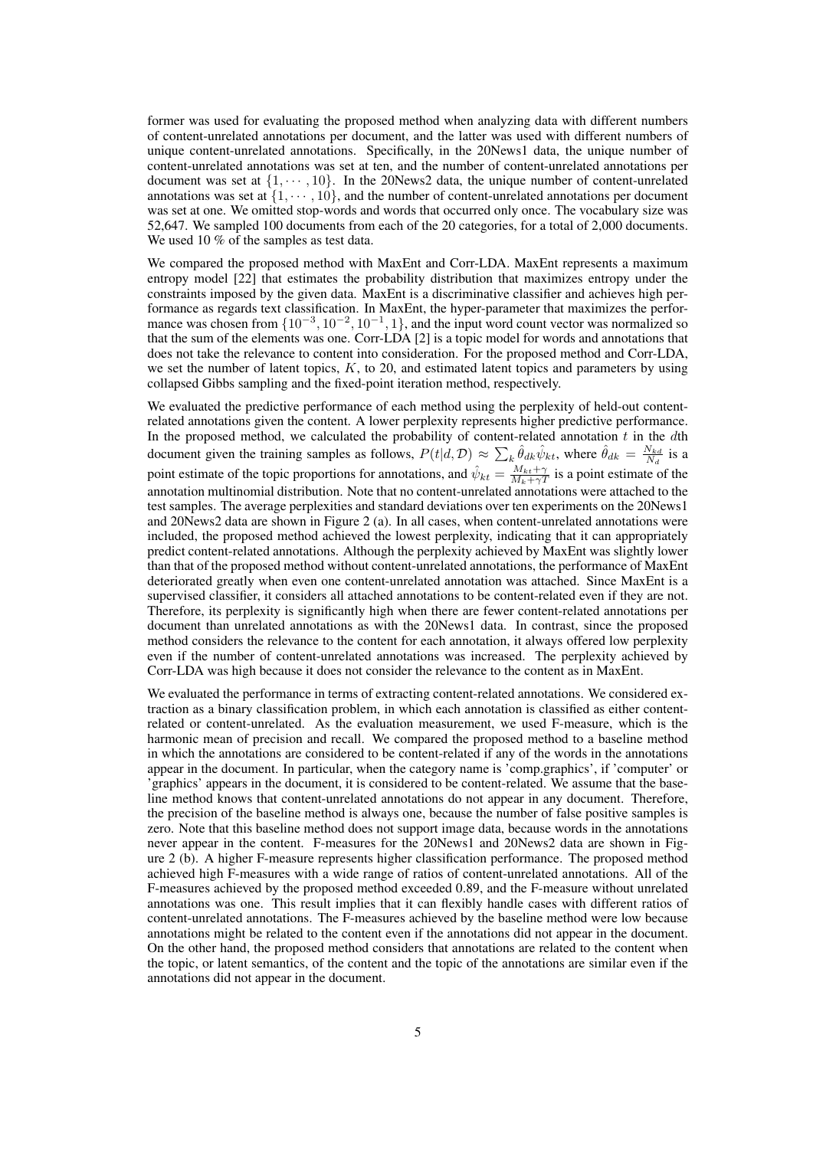former was used for evaluating the proposed method when analyzing data with different numbers of content-unrelated annotations per document, and the latter was used with different numbers of unique content-unrelated annotations. Specifically, in the 20News1 data, the unique number of content-unrelated annotations was set at ten, and the number of content-unrelated annotations per document was set at  $\{1, \dots, 10\}$ . In the 20News2 data, the unique number of content-unrelated annotations was set at  $\{1, \dots, 10\}$ , and the number of content-unrelated annotations per document was set at one. We omitted stop-words and words that occurred only once. The vocabulary size was 52,647. We sampled 100 documents from each of the 20 categories, for a total of 2,000 documents. We used 10 % of the samples as test data.

We compared the proposed method with MaxEnt and Corr-LDA. MaxEnt represents a maximum entropy model [22] that estimates the probability distribution that maximizes entropy under the constraints imposed by the given data. MaxEnt is a discriminative classifier and achieves high performance as regards text classification. In MaxEnt, the hyper-parameter that maximizes the performance was chosen from  $\{10^{-3}, 10^{-2}, 10^{-1}, 1\}$ , and the input word count vector was normalized so that the sum of the elements was one. Corr-LDA [2] is a topic model for words and annotations that does not take the relevance to content into consideration. For the proposed method and Corr-LDA, we set the number of latent topics, *K*, to 20, and estimated latent topics and parameters by using collapsed Gibbs sampling and the fixed-point iteration method, respectively.

We evaluated the predictive performance of each method using the perplexity of held-out contentrelated annotations given the content. A lower perplexity represents higher predictive performance. In the proposed method, we calculated the probability of content-related annotation *t* in the *d*th document given the training samples as follows,  $P(t|d, \mathcal{D}) \approx \sum_k \hat{\theta}_{dk} \hat{\psi}_{kt}$ , where  $\hat{\theta}_{dk} = \frac{N_{kd}}{N_d}$  is a point estimate of the topic proportions for annotations, and  $\hat{\psi}_{kt} = \frac{M_{kt} + \gamma}{M_k + \gamma T}$  is a point estimate of the annotation multinomial distribution. Note that no content-unrelated annotations were attached to the test samples. The average perplexities and standard deviations over ten experiments on the 20News1 and 20News2 data are shown in Figure 2 (a). In all cases, when content-unrelated annotations were included, the proposed method achieved the lowest perplexity, indicating that it can appropriately predict content-related annotations. Although the perplexity achieved by MaxEnt was slightly lower than that of the proposed method without content-unrelated annotations, the performance of MaxEnt deteriorated greatly when even one content-unrelated annotation was attached. Since MaxEnt is a supervised classifier, it considers all attached annotations to be content-related even if they are not. Therefore, its perplexity is significantly high when there are fewer content-related annotations per document than unrelated annotations as with the 20News1 data. In contrast, since the proposed method considers the relevance to the content for each annotation, it always offered low perplexity even if the number of content-unrelated annotations was increased. The perplexity achieved by Corr-LDA was high because it does not consider the relevance to the content as in MaxEnt.

We evaluated the performance in terms of extracting content-related annotations. We considered extraction as a binary classification problem, in which each annotation is classified as either contentrelated or content-unrelated. As the evaluation measurement, we used F-measure, which is the harmonic mean of precision and recall. We compared the proposed method to a baseline method in which the annotations are considered to be content-related if any of the words in the annotations appear in the document. In particular, when the category name is 'comp.graphics', if 'computer' or 'graphics' appears in the document, it is considered to be content-related. We assume that the baseline method knows that content-unrelated annotations do not appear in any document. Therefore, the precision of the baseline method is always one, because the number of false positive samples is zero. Note that this baseline method does not support image data, because words in the annotations never appear in the content. F-measures for the 20News1 and 20News2 data are shown in Figure 2 (b). A higher F-measure represents higher classification performance. The proposed method achieved high F-measures with a wide range of ratios of content-unrelated annotations. All of the F-measures achieved by the proposed method exceeded 0.89, and the F-measure without unrelated annotations was one. This result implies that it can flexibly handle cases with different ratios of content-unrelated annotations. The F-measures achieved by the baseline method were low because annotations might be related to the content even if the annotations did not appear in the document. On the other hand, the proposed method considers that annotations are related to the content when the topic, or latent semantics, of the content and the topic of the annotations are similar even if the annotations did not appear in the document.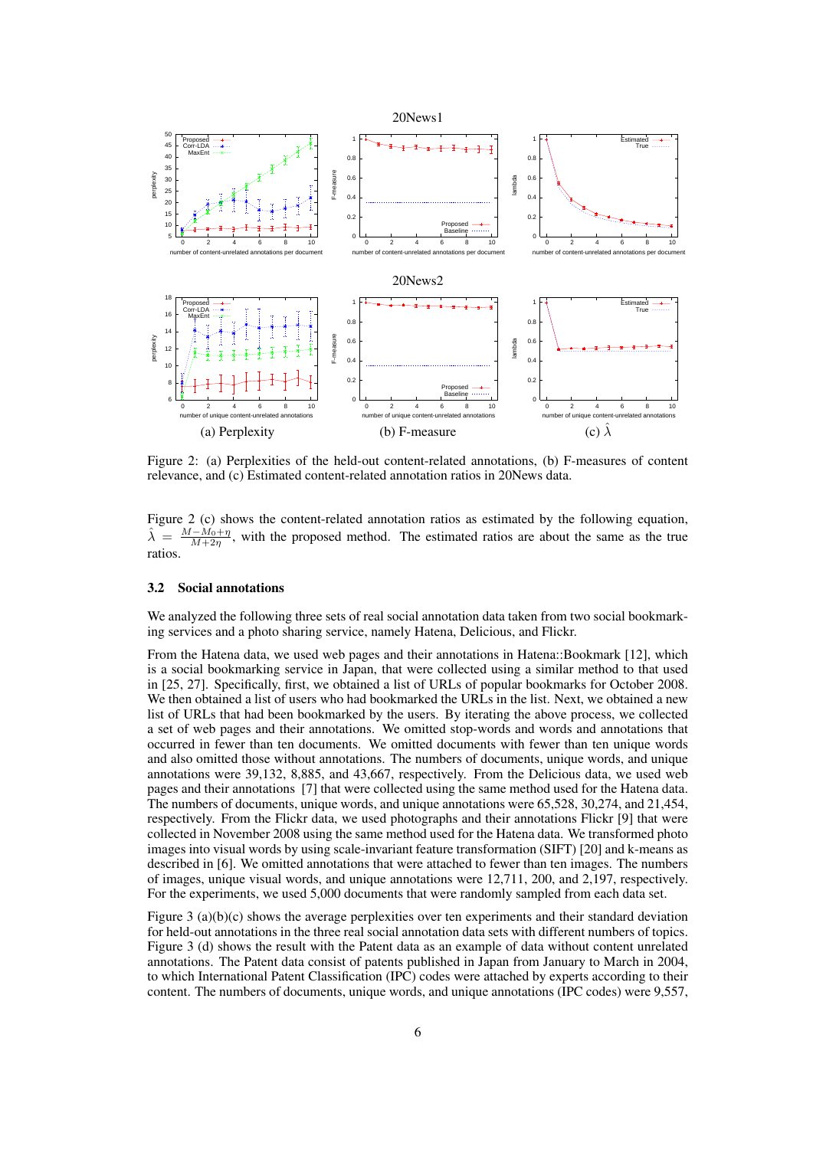

Figure 2: (a) Perplexities of the held-out content-related annotations, (b) F-measures of content relevance, and (c) Estimated content-related annotation ratios in 20News data.

Figure 2 (c) shows the content-related annotation ratios as estimated by the following equation,  $\hat{\lambda}$  =  $\frac{M-M_0+\eta}{M+2n}$ , with the proposed method. The estimated ratios are about the same as the true *M*+2*η* ratios.

#### 3.2 Social annotations

We analyzed the following three sets of real social annotation data taken from two social bookmarking services and a photo sharing service, namely Hatena, Delicious, and Flickr.

From the Hatena data, we used web pages and their annotations in Hatena::Bookmark [12], which is a social bookmarking service in Japan, that were collected using a similar method to that used in [25, 27]. Specifically, first, we obtained a list of URLs of popular bookmarks for October 2008. We then obtained a list of users who had bookmarked the URLs in the list. Next, we obtained a new list of URLs that had been bookmarked by the users. By iterating the above process, we collected a set of web pages and their annotations. We omitted stop-words and words and annotations that occurred in fewer than ten documents. We omitted documents with fewer than ten unique words and also omitted those without annotations. The numbers of documents, unique words, and unique annotations were 39,132, 8,885, and 43,667, respectively. From the Delicious data, we used web pages and their annotations [7] that were collected using the same method used for the Hatena data. The numbers of documents, unique words, and unique annotations were 65,528, 30,274, and 21,454, respectively. From the Flickr data, we used photographs and their annotations Flickr [9] that were collected in November 2008 using the same method used for the Hatena data. We transformed photo images into visual words by using scale-invariant feature transformation (SIFT) [20] and k-means as described in [6]. We omitted annotations that were attached to fewer than ten images. The numbers of images, unique visual words, and unique annotations were 12,711, 200, and 2,197, respectively. For the experiments, we used 5,000 documents that were randomly sampled from each data set.

Figure 3 (a)(b)(c) shows the average perplexities over ten experiments and their standard deviation for held-out annotations in the three real social annotation data sets with different numbers of topics. Figure 3 (d) shows the result with the Patent data as an example of data without content unrelated annotations. The Patent data consist of patents published in Japan from January to March in 2004, to which International Patent Classification (IPC) codes were attached by experts according to their content. The numbers of documents, unique words, and unique annotations (IPC codes) were 9,557,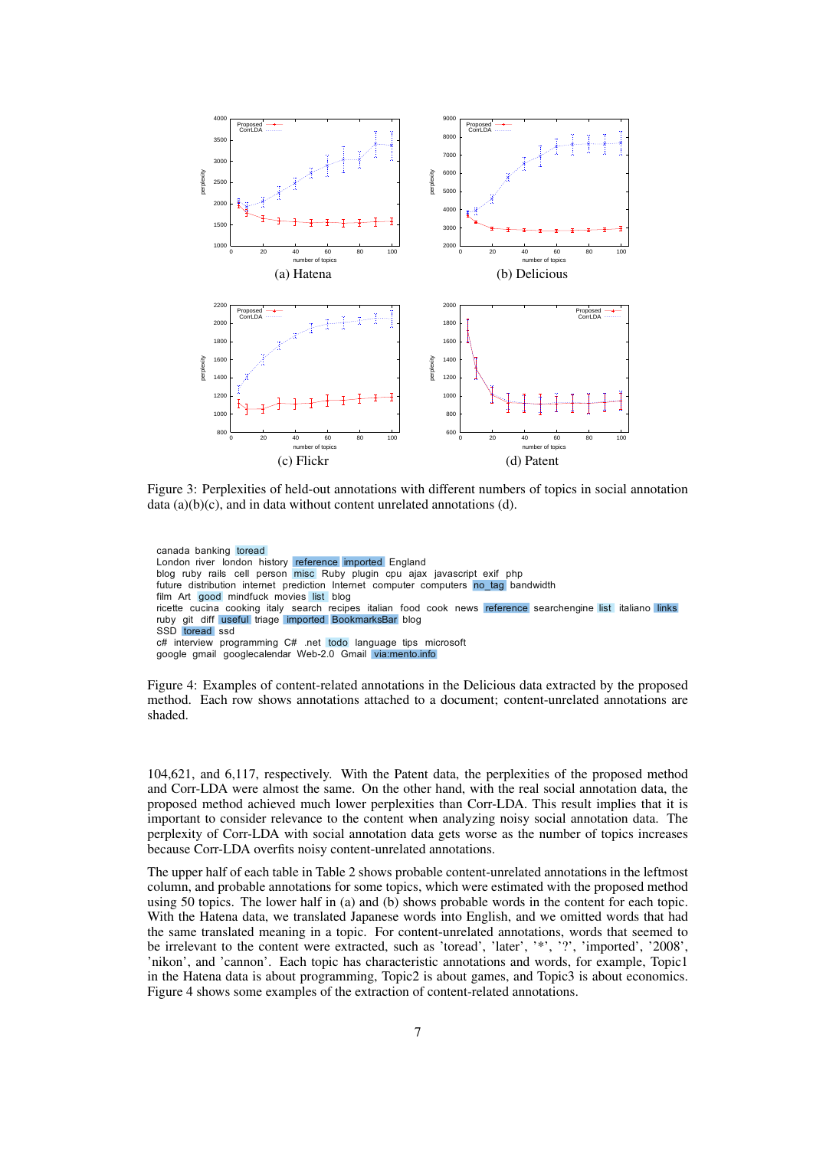

Figure 3: Perplexities of held-out annotations with different numbers of topics in social annotation data (a)(b)(c), and in data without content unrelated annotations (d).

canada banking toread London river london history reference imported England blog ruby rails cell person misc Ruby plugin cpu ajax javascript exif php future distribution internet prediction Internet computer computers no tag bandwidth film Art good mindfuck movies list blog ricette cucina cooking italy search recipes italian food cook news reference searchengine list italiano links ruby git diff useful triage imported BookmarksBar blog SSD toread ssd c# interview programming C# .net todo language tips microsoft google gmail googlecalendar Web-2.0 Gmail via:mento.info

Figure 4: Examples of content-related annotations in the Delicious data extracted by the proposed method. Each row shows annotations attached to a document; content-unrelated annotations are shaded.

104,621, and 6,117, respectively. With the Patent data, the perplexities of the proposed method and Corr-LDA were almost the same. On the other hand, with the real social annotation data, the proposed method achieved much lower perplexities than Corr-LDA. This result implies that it is important to consider relevance to the content when analyzing noisy social annotation data. The perplexity of Corr-LDA with social annotation data gets worse as the number of topics increases because Corr-LDA overfits noisy content-unrelated annotations.

The upper half of each table in Table 2 shows probable content-unrelated annotations in the leftmost column, and probable annotations for some topics, which were estimated with the proposed method using 50 topics. The lower half in (a) and (b) shows probable words in the content for each topic. With the Hatena data, we translated Japanese words into English, and we omitted words that had the same translated meaning in a topic. For content-unrelated annotations, words that seemed to be irrelevant to the content were extracted, such as 'toread', 'later', '\*', '?', 'imported', '2008', 'nikon', and 'cannon'. Each topic has characteristic annotations and words, for example, Topic1 in the Hatena data is about programming, Topic2 is about games, and Topic3 is about economics. Figure 4 shows some examples of the extraction of content-related annotations.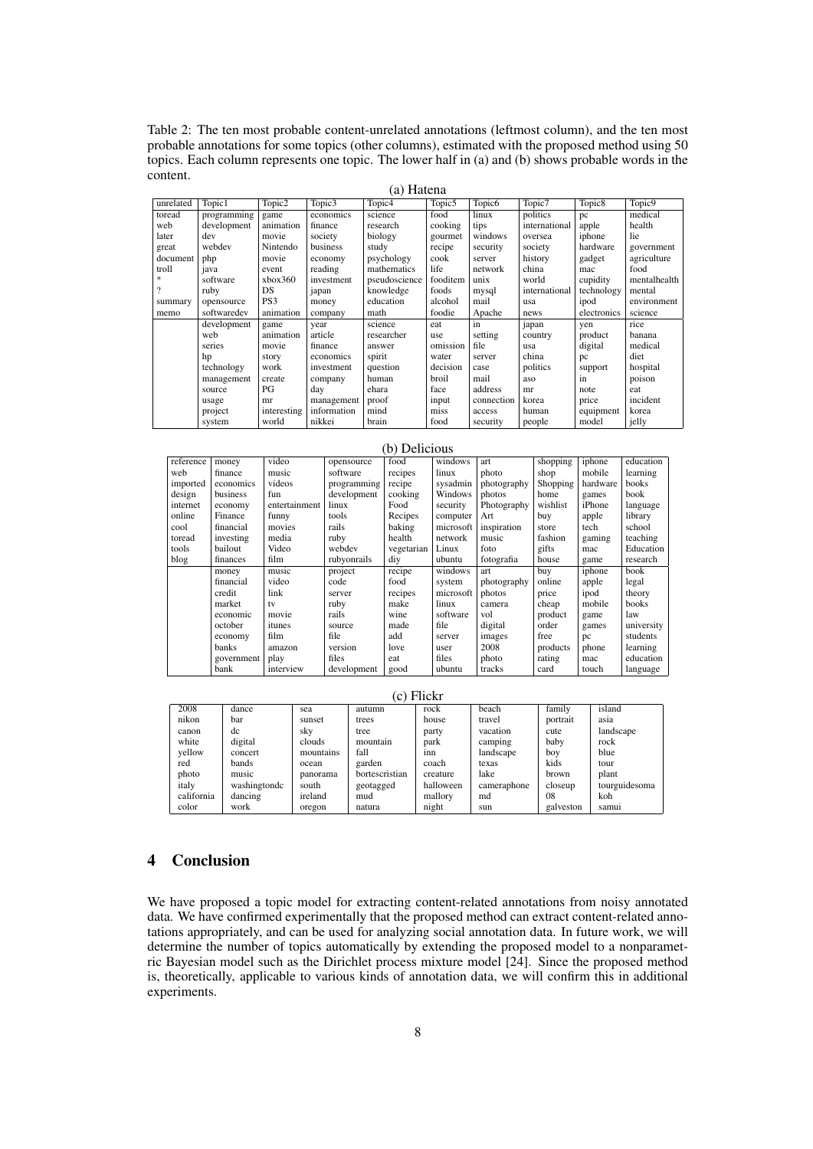Table 2: The ten most probable content-unrelated annotations (leftmost column), and the ten most probable annotations for some topics (other columns), estimated with the proposed method using 50 topics. Each column represents one topic. The lower half in (a) and (b) shows probable words in the content.

| (a) Hatena         |             |                    |                    |                    |            |                    |               |                    |                    |
|--------------------|-------------|--------------------|--------------------|--------------------|------------|--------------------|---------------|--------------------|--------------------|
| unrelated          | Topic1      | Topic <sub>2</sub> | Topic <sub>3</sub> | Topic <sub>4</sub> | Topic5     | Topic <sub>6</sub> | Topic7        | Topic <sub>8</sub> | Topic <sub>9</sub> |
| toread             | programming | game               | economics          | science            | food       | linux              | politics      | pc                 | medical            |
| web                | development | animation          | finance            | research           | cooking    | tips               | international | apple              | health             |
| later              | dev         | movie              | society            | biology            | gourmet    | windows            | oversea       | iphone             | lie                |
| great              | webdev      | Nintendo           | business           | study              | recipe     | security           | society       | hardware           | government         |
| document           | php         | movie              | economy            | psychology         | cook       | server             | history       | gadget             | agriculture        |
| troll              | java        | event              | reading            | mathematics        | life       | network            | china         | mac                | food               |
| *                  | software    | xbox360            | investment         | pseudoscience      | fooditem   | unix               | world         | cupidity           | mentalhealth       |
| $\overline{\cdot}$ | ruby        | DS.                | japan              | knowledge          | foods      | mysql              | international | technology         | mental             |
| summary            | opensource  | PS3                | money              | education          | alcohol    | mail               | usa           | ipod               | environment        |
| memo               | softwaredev | animation          | company            | math               | foodie     | Apache             | news          | electronics        | science            |
|                    | development | game               | year               | science            | eat        | in                 | japan         | yen                | rice               |
|                    | web         | animation          | article            | researcher         | <i>use</i> | setting            | country       | product            | banana             |
|                    | series      | movie              | finance            | answer             | omission   | file               | usa           | digital            | medical            |
|                    | hp          | story              | economics          | spirit             | water      | server             | china         | pc                 | diet               |
|                    | technology  | work               | investment         | question           | decision   | case               | politics      | support            | hospital           |
|                    | management  | create             | company            | human              | broil      | mail               | aso           | in                 | poison             |
|                    | source      | PG                 | day                | ehara              | face       | address            | mr            | note               | eat                |
|                    | usage       | mr                 | management         | proof              | input      | connection         | korea         | price              | incident           |
|                    | project     | interesting        | information        | mind               | miss       | access             | human         | equipment          | korea              |
|                    | system      | world              | nikkei             | brain              | food       | security           | people        | model              | jelly              |

| $UL UL UL UL$ |            |               |             |            |           |             |          |          |            |
|---------------|------------|---------------|-------------|------------|-----------|-------------|----------|----------|------------|
| reference     | money      | video         | opensource  | food       | windows   | art         | shopping | iphone   | education  |
| web           | finance    | music         | software    | recipes    | linux     | photo       | shop     | mobile   | learning   |
| imported      | economics  | videos        | programming | recipe     | sysadmin  | photography | Shopping | hardware | books      |
| design        | business   | fun           | development | cooking    | Windows   | photos      | home     | games    | book       |
| internet      | economy    | entertainment | linux       | Food       | security  | Photography | wishlist | iPhone   | language   |
| online        | Finance    | funny         | tools       | Recipes    | computer  | Art         | buy      | apple    | library    |
| cool          | financial  | movies        | rails       | baking     | microsoft | inspiration | store    | tech     | school     |
| toread        | investing  | media         | ruby        | health     | network   | music       | fashion  | gaming   | teaching   |
| tools         | bailout    | Video         | webdev      | vegetarian | Linux     | foto        | gifts    | mac      | Education  |
| blog          | finances   | film          | rubyonrails | diy        | ubuntu    | fotografia  | house    | game     | research   |
|               | money      | music         | project     | recipe     | windows   | art         | buy      | iphone   | book       |
|               | financial  | video         | code        | food       | system    | photography | online   | apple    | legal      |
|               | credit     | link          | server      | recipes    | microsoft | photos      | price    | ipod     | theory     |
|               | market     | tv            | ruby        | make       | linux     | camera      | cheap    | mobile   | books      |
|               | economic   | movie         | rails       | wine       | software  | vol         | product  | game     | law        |
|               | october    | itunes        | source      | made       | file      | digital     | order    | games    | university |
|               | economy    | film          | file        | add        | server    | images      | free     | pc       | students   |
|               | banks      | amazon        | version     | love       | user      | 2008        | products | phone    | learning   |
|               | government | play          | files       | eat        | files     | photo       | rating   | mac      | education  |
|               | bank       | interview     | development | good       | ubuntu    | tracks      | card     | touch    | language   |

(b) Delicious

| (c) Flickr |              |           |                |           |             |              |               |  |  |
|------------|--------------|-----------|----------------|-----------|-------------|--------------|---------------|--|--|
| 2008       | dance        | sea       | autumn         | rock      | beach       | family       | island        |  |  |
| nikon      | bar          | sunset    | trees          | house     | travel      | portrait     | asia          |  |  |
| canon      | dc           | sky       | tree           | party     | vacation    | cute         | landscape     |  |  |
| white      | digital      | clouds    | mountain       | park      | camping     | baby         | rock          |  |  |
| yellow     | concert      | mountains | fall           | inn       | landscape   | boy          | blue          |  |  |
| red        | bands        | ocean     | garden         | coach     | texas       | kids         | tour          |  |  |
| photo      | music        | panorama  | bortescristian | creature  | lake        | <b>brown</b> | plant         |  |  |
| italy      | washingtondc | south     | geotagged      | halloween | cameraphone | closeup      | tourguidesoma |  |  |
| california | dancing      | ireland   | mud            | mallory   | md          | 08           | koh           |  |  |
| color      | work         | oregon    | natura         | night     | sun         | galveston    | samui         |  |  |

# 4 Conclusion

We have proposed a topic model for extracting content-related annotations from noisy annotated data. We have confirmed experimentally that the proposed method can extract content-related annotations appropriately, and can be used for analyzing social annotation data. In future work, we will determine the number of topics automatically by extending the proposed model to a nonparametric Bayesian model such as the Dirichlet process mixture model [24]. Since the proposed method is, theoretically, applicable to various kinds of annotation data, we will confirm this in additional experiments.